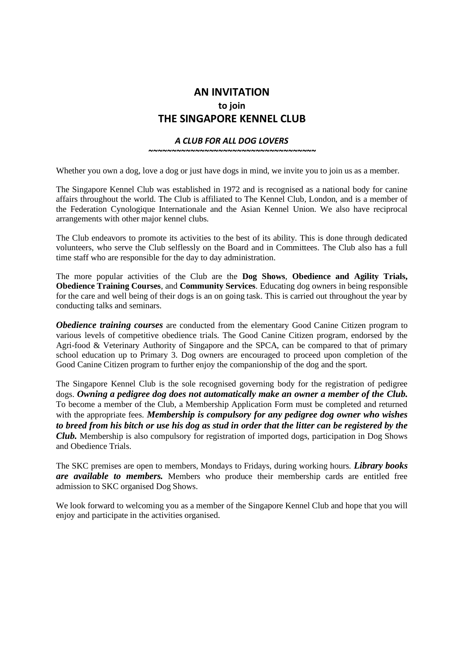## **AN INVITATION to join THE SINGAPORE KENNEL CLUB**

## *A CLUB FOR ALL DOG LOVERS*

*~~~~~~~~~~~~~~~~~~~~~~~~~~~~~~~~~~~~*

Whether you own a dog, love a dog or just have dogs in mind, we invite you to join us as a member.

The Singapore Kennel Club was established in 1972 and is recognised as a national body for canine affairs throughout the world. The Club is affiliated to The Kennel Club, London, and is a member of the Federation Cynologique Internationale and the Asian Kennel Union. We also have reciprocal arrangements with other major kennel clubs.

The Club endeavors to promote its activities to the best of its ability. This is done through dedicated volunteers, who serve the Club selflessly on the Board and in Committees. The Club also has a full time staff who are responsible for the day to day administration.

The more popular activities of the Club are the **Dog Shows**, **Obedience and Agility Trials, Obedience Training Courses**, and **Community Services**. Educating dog owners in being responsible for the care and well being of their dogs is an on going task. This is carried out throughout the year by conducting talks and seminars.

*Obedience training courses* are conducted from the elementary Good Canine Citizen program to various levels of competitive obedience trials. The Good Canine Citizen program, endorsed by the Agri-food & Veterinary Authority of Singapore and the SPCA, can be compared to that of primary school education up to Primary 3. Dog owners are encouraged to proceed upon completion of the Good Canine Citizen program to further enjoy the companionship of the dog and the sport.

The Singapore Kennel Club is the sole recognised governing body for the registration of pedigree dogs. *Owning a pedigree dog does not automatically make an owner a member of the Club.* To become a member of the Club, a Membership Application Form must be completed and returned with the appropriate fees. *Membership is compulsory for any pedigree dog owner who wishes to breed from his bitch or use his dog as stud in order that the litter can be registered by the Club.* Membership is also compulsory for registration of imported dogs, participation in Dog Shows and Obedience Trials.

The SKC premises are open to members, Mondays to Fridays, during working hours. *Library books are available to members.* Members who produce their membership cards are entitled free admission to SKC organised Dog Shows.

We look forward to welcoming you as a member of the Singapore Kennel Club and hope that you will enjoy and participate in the activities organised.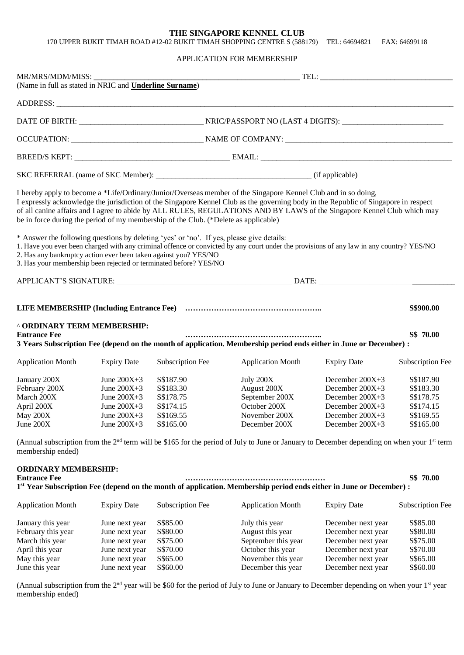## **THE SINGAPORE KENNEL CLUB**

170 UPPER BUKIT TIMAH ROAD #12-02 BUKIT TIMAH SHOPPING CENTRE S (588179) TEL: 64694821 FAX: 64699118

## APPLICATION FOR MEMBERSHIP

| MR/MRS/MDM/MISS: _____________<br>(Name in full as stated in NRIC and <b>Underline Surname</b> )                                                                                                                                                                                                                                                                                                                                                                        |                                                                                                          |                                                                            |                                                                                                                                                                                                                                                                                       |                                                                                                                                  |                                                                            |  |
|-------------------------------------------------------------------------------------------------------------------------------------------------------------------------------------------------------------------------------------------------------------------------------------------------------------------------------------------------------------------------------------------------------------------------------------------------------------------------|----------------------------------------------------------------------------------------------------------|----------------------------------------------------------------------------|---------------------------------------------------------------------------------------------------------------------------------------------------------------------------------------------------------------------------------------------------------------------------------------|----------------------------------------------------------------------------------------------------------------------------------|----------------------------------------------------------------------------|--|
|                                                                                                                                                                                                                                                                                                                                                                                                                                                                         |                                                                                                          |                                                                            |                                                                                                                                                                                                                                                                                       |                                                                                                                                  |                                                                            |  |
|                                                                                                                                                                                                                                                                                                                                                                                                                                                                         |                                                                                                          |                                                                            |                                                                                                                                                                                                                                                                                       |                                                                                                                                  |                                                                            |  |
|                                                                                                                                                                                                                                                                                                                                                                                                                                                                         |                                                                                                          |                                                                            |                                                                                                                                                                                                                                                                                       |                                                                                                                                  |                                                                            |  |
|                                                                                                                                                                                                                                                                                                                                                                                                                                                                         |                                                                                                          |                                                                            |                                                                                                                                                                                                                                                                                       |                                                                                                                                  |                                                                            |  |
|                                                                                                                                                                                                                                                                                                                                                                                                                                                                         |                                                                                                          |                                                                            |                                                                                                                                                                                                                                                                                       |                                                                                                                                  |                                                                            |  |
| I hereby apply to become a *Life/Ordinary/Junior/Overseas member of the Singapore Kennel Club and in so doing,<br>I expressly acknowledge the jurisdiction of the Singapore Kennel Club as the governing body in the Republic of Singapore in respect<br>of all canine affairs and I agree to abide by ALL RULES, REGULATIONS AND BY LAWS of the Singapore Kennel Club which may<br>be in force during the period of my membership of the Club. (*Delete as applicable) |                                                                                                          |                                                                            |                                                                                                                                                                                                                                                                                       |                                                                                                                                  |                                                                            |  |
| * Answer the following questions by deleting 'yes' or 'no'. If yes, please give details:<br>2. Has any bankruptcy action ever been taken against you? YES/NO<br>3. Has your membership been rejected or terminated before? YES/NO                                                                                                                                                                                                                                       |                                                                                                          |                                                                            | 1. Have you ever been charged with any criminal offence or convicted by any court under the provisions of any law in any country? YES/NO                                                                                                                                              |                                                                                                                                  |                                                                            |  |
|                                                                                                                                                                                                                                                                                                                                                                                                                                                                         |                                                                                                          |                                                                            |                                                                                                                                                                                                                                                                                       |                                                                                                                                  |                                                                            |  |
|                                                                                                                                                                                                                                                                                                                                                                                                                                                                         |                                                                                                          |                                                                            |                                                                                                                                                                                                                                                                                       |                                                                                                                                  | S\$900.00                                                                  |  |
| <b>^ ORDINARY TERM MEMBERSHIP:</b><br>S\$ 70.00<br><b>Entrance Fee</b><br>3 Years Subscription Fee (depend on the month of application. Membership period ends either in June or December) :                                                                                                                                                                                                                                                                            |                                                                                                          |                                                                            |                                                                                                                                                                                                                                                                                       |                                                                                                                                  |                                                                            |  |
| <b>Application Month</b>                                                                                                                                                                                                                                                                                                                                                                                                                                                | <b>Expiry Date</b>                                                                                       | Subscription Fee                                                           | <b>Application Month</b>                                                                                                                                                                                                                                                              | <b>Expiry Date</b>                                                                                                               | Subscription Fee                                                           |  |
| January 200X<br>February 200X<br>March 200X<br>April 200X<br>May 200X<br>June 200X                                                                                                                                                                                                                                                                                                                                                                                      | June $200X+3$<br>June $200X+3$<br>June $200X+3$<br>June $200X+3$<br>June $200X+3$<br>June $200X+3$       | S\$187.90<br>S\$183.30<br>S\$178.75<br>S\$174.15<br>S\$169.55<br>S\$165.00 | July 200X<br>August 200X<br>September 200X<br>October 200X<br>November 200X<br>December 200X                                                                                                                                                                                          | December 200X+3<br>December 200X+3<br>December $200X+3$<br>December 200X+3<br>December $200X+3$<br>December 200X+3               | S\$187.90<br>S\$183.30<br>S\$178.75<br>S\$174.15<br>S\$169.55<br>S\$165.00 |  |
| (Annual subscription from the 2 <sup>nd</sup> term will be \$165 for the period of July to June or January to December depending on when your 1 <sup>st</sup> term<br>membership ended)                                                                                                                                                                                                                                                                                 |                                                                                                          |                                                                            |                                                                                                                                                                                                                                                                                       |                                                                                                                                  |                                                                            |  |
| <b>ORDINARY MEMBERSHIP:</b><br><b>Entrance Fee</b>                                                                                                                                                                                                                                                                                                                                                                                                                      |                                                                                                          |                                                                            | 1 <sup>st</sup> Year Subscription Fee (depend on the month of application. Membership period ends either in June or December) :                                                                                                                                                       |                                                                                                                                  | S\$ 70.00                                                                  |  |
| <b>Application Month</b>                                                                                                                                                                                                                                                                                                                                                                                                                                                | <b>Expiry Date</b>                                                                                       | Subscription Fee                                                           | <b>Application Month</b>                                                                                                                                                                                                                                                              | <b>Expiry Date</b>                                                                                                               | <b>Subscription Fee</b>                                                    |  |
| January this year<br>February this year<br>March this year<br>April this year<br>May this year<br>June this year                                                                                                                                                                                                                                                                                                                                                        | June next year<br>June next year<br>June next year<br>June next year<br>June next year<br>June next year | S\$85.00<br>S\$80.00<br>S\$75.00<br>S\$70.00<br>S\$65.00<br>S\$60.00       | July this year<br>August this year<br>September this year<br>October this year<br>November this year<br>December this year<br>(Annual subscription from the $2nd$ year will be \$60 for the period of July to June or January to December depending on when your 1 <sup>st</sup> year | December next year<br>December next year<br>December next year<br>December next year<br>December next year<br>December next year | S\$85.00<br>S\$80.00<br>S\$75.00<br>S\$70.00<br>S\$65.00<br>S\$60.00       |  |
| membership ended)                                                                                                                                                                                                                                                                                                                                                                                                                                                       |                                                                                                          |                                                                            |                                                                                                                                                                                                                                                                                       |                                                                                                                                  |                                                                            |  |